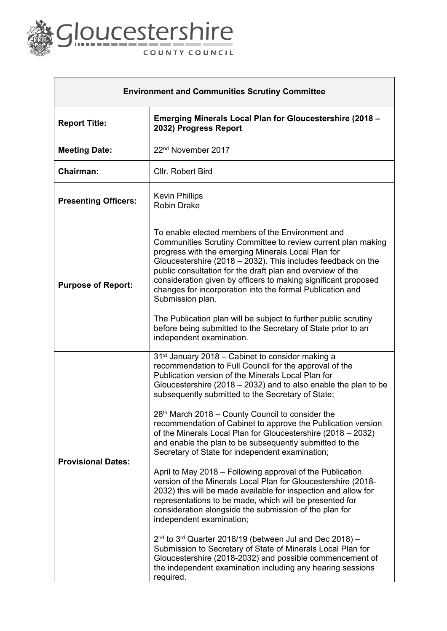

**Contract Contract** 

| <b>Environment and Communities Scrutiny Committee</b> |                                                                                                                                                                                                                                                                                                                                                                                                                                                                                                                                                                                                                                                                                                                                                                                                                                                                                                                                                                                                                                                                                                                                                                                                                                          |
|-------------------------------------------------------|------------------------------------------------------------------------------------------------------------------------------------------------------------------------------------------------------------------------------------------------------------------------------------------------------------------------------------------------------------------------------------------------------------------------------------------------------------------------------------------------------------------------------------------------------------------------------------------------------------------------------------------------------------------------------------------------------------------------------------------------------------------------------------------------------------------------------------------------------------------------------------------------------------------------------------------------------------------------------------------------------------------------------------------------------------------------------------------------------------------------------------------------------------------------------------------------------------------------------------------|
| <b>Report Title:</b>                                  | <b>Emerging Minerals Local Plan for Gloucestershire (2018 -</b><br>2032) Progress Report                                                                                                                                                                                                                                                                                                                                                                                                                                                                                                                                                                                                                                                                                                                                                                                                                                                                                                                                                                                                                                                                                                                                                 |
| <b>Meeting Date:</b>                                  | 22 <sup>nd</sup> November 2017                                                                                                                                                                                                                                                                                                                                                                                                                                                                                                                                                                                                                                                                                                                                                                                                                                                                                                                                                                                                                                                                                                                                                                                                           |
| Chairman:                                             | Cllr. Robert Bird                                                                                                                                                                                                                                                                                                                                                                                                                                                                                                                                                                                                                                                                                                                                                                                                                                                                                                                                                                                                                                                                                                                                                                                                                        |
| <b>Presenting Officers:</b>                           | <b>Kevin Phillips</b><br><b>Robin Drake</b>                                                                                                                                                                                                                                                                                                                                                                                                                                                                                                                                                                                                                                                                                                                                                                                                                                                                                                                                                                                                                                                                                                                                                                                              |
| <b>Purpose of Report:</b>                             | To enable elected members of the Environment and<br>Communities Scrutiny Committee to review current plan making<br>progress with the emerging Minerals Local Plan for<br>Gloucestershire (2018 - 2032). This includes feedback on the<br>public consultation for the draft plan and overview of the<br>consideration given by officers to making significant proposed<br>changes for incorporation into the formal Publication and<br>Submission plan.<br>The Publication plan will be subject to further public scrutiny<br>before being submitted to the Secretary of State prior to an<br>independent examination.                                                                                                                                                                                                                                                                                                                                                                                                                                                                                                                                                                                                                   |
| <b>Provisional Dates:</b>                             | 31 <sup>st</sup> January 2018 - Cabinet to consider making a<br>recommendation to Full Council for the approval of the<br>Publication version of the Minerals Local Plan for<br>Gloucestershire (2018 $-$ 2032) and to also enable the plan to be<br>subsequently submitted to the Secretary of State;<br>28th March 2018 - County Council to consider the<br>recommendation of Cabinet to approve the Publication version<br>of the Minerals Local Plan for Gloucestershire (2018 – 2032)<br>and enable the plan to be subsequently submitted to the<br>Secretary of State for independent examination;<br>April to May 2018 – Following approval of the Publication<br>version of the Minerals Local Plan for Gloucestershire (2018-<br>2032) this will be made available for inspection and allow for<br>representations to be made, which will be presented for<br>consideration alongside the submission of the plan for<br>independent examination;<br>$2nd$ to 3 <sup>rd</sup> Quarter 2018/19 (between Jul and Dec 2018) -<br>Submission to Secretary of State of Minerals Local Plan for<br>Gloucestershire (2018-2032) and possible commencement of<br>the independent examination including any hearing sessions<br>required. |

٦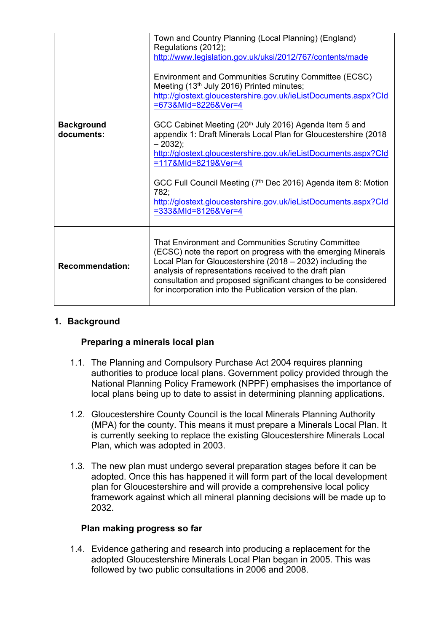|                                 | Town and Country Planning (Local Planning) (England)<br>Regulations (2012);<br>http://www.legislation.gov.uk/uksi/2012/767/contents/made                                                                                                                                                                       |
|---------------------------------|----------------------------------------------------------------------------------------------------------------------------------------------------------------------------------------------------------------------------------------------------------------------------------------------------------------|
|                                 | Environment and Communities Scrutiny Committee (ECSC)<br>Meeting (13th July 2016) Printed minutes;<br>http://glostext.gloucestershire.gov.uk/ieListDocuments.aspx?Cld                                                                                                                                          |
|                                 | =673&MId=8226&Ver=4                                                                                                                                                                                                                                                                                            |
| <b>Background</b><br>documents: | GCC Cabinet Meeting (20 <sup>th</sup> July 2016) Agenda Item 5 and<br>appendix 1: Draft Minerals Local Plan for Gloucestershire (2018<br>$-2032$ ;                                                                                                                                                             |
|                                 | http://glostext.gloucestershire.gov.uk/ieListDocuments.aspx?Cld<br>=117&MId=8219&Ver=4                                                                                                                                                                                                                         |
|                                 | GCC Full Council Meeting (7th Dec 2016) Agenda item 8: Motion<br>782:                                                                                                                                                                                                                                          |
|                                 | http://glostext.gloucestershire.gov.uk/ieListDocuments.aspx?Cld<br>=333&MId=8126&Ver=4                                                                                                                                                                                                                         |
| <b>Recommendation:</b>          | That Environment and Communities Scrutiny Committee<br>(ECSC) note the report on progress with the emerging Minerals<br>Local Plan for Gloucestershire (2018 - 2032) including the<br>analysis of representations received to the draft plan<br>consultation and proposed significant changes to be considered |
|                                 | for incorporation into the Publication version of the plan.                                                                                                                                                                                                                                                    |

# **1. Background**

### **Preparing a minerals local plan**

- 1.1. The Planning and Compulsory Purchase Act 2004 requires planning authorities to produce local plans. Government policy provided through the National Planning Policy Framework (NPPF) emphasises the importance of local plans being up to date to assist in determining planning applications.
- 1.2. Gloucestershire County Council is the local Minerals Planning Authority (MPA) for the county. This means it must prepare a Minerals Local Plan. It is currently seeking to replace the existing Gloucestershire Minerals Local Plan, which was adopted in 2003.
- 1.3. The new plan must undergo several preparation stages before it can be adopted. Once this has happened it will form part of the local development plan for Gloucestershire and will provide a comprehensive local policy framework against which all mineral planning decisions will be made up to 2032.

### **Plan making progress so far**

1.4. Evidence gathering and research into producing a replacement for the adopted Gloucestershire Minerals Local Plan began in 2005. This was followed by two public consultations in 2006 and 2008.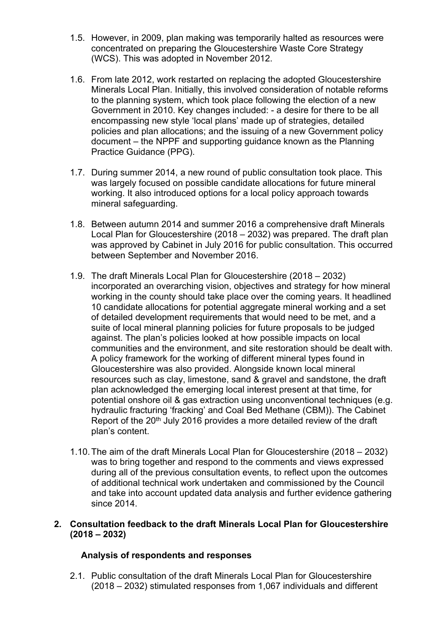- 1.5. However, in 2009, plan making was temporarily halted as resources were concentrated on preparing the Gloucestershire Waste Core Strategy (WCS). This was adopted in November 2012.
- 1.6. From late 2012, work restarted on replacing the adopted Gloucestershire Minerals Local Plan. Initially, this involved consideration of notable reforms to the planning system, which took place following the election of a new Government in 2010. Key changes included: - a desire for there to be all encompassing new style 'local plans' made up of strategies, detailed policies and plan allocations; and the issuing of a new Government policy document – the NPPF and supporting guidance known as the Planning Practice Guidance (PPG).
- 1.7. During summer 2014, a new round of public consultation took place. This was largely focused on possible candidate allocations for future mineral working. It also introduced options for a local policy approach towards mineral safeguarding.
- 1.8. Between autumn 2014 and summer 2016 a comprehensive draft Minerals Local Plan for Gloucestershire (2018 – 2032) was prepared. The draft plan was approved by Cabinet in July 2016 for public consultation. This occurred between September and November 2016.
- 1.9. The draft Minerals Local Plan for Gloucestershire (2018 2032) incorporated an overarching vision, objectives and strategy for how mineral working in the county should take place over the coming years. It headlined 10 candidate allocations for potential aggregate mineral working and a set of detailed development requirements that would need to be met, and a suite of local mineral planning policies for future proposals to be judged against. The plan's policies looked at how possible impacts on local communities and the environment, and site restoration should be dealt with. A policy framework for the working of different mineral types found in Gloucestershire was also provided. Alongside known local mineral resources such as clay, limestone, sand & gravel and sandstone, the draft plan acknowledged the emerging local interest present at that time, for potential onshore oil & gas extraction using unconventional techniques (e.g. hydraulic fracturing 'fracking' and Coal Bed Methane (CBM)). The Cabinet Report of the 20<sup>th</sup> July 2016 provides a more detailed review of the draft plan's content.
- 1.10.The aim of the draft Minerals Local Plan for Gloucestershire (2018 2032) was to bring together and respond to the comments and views expressed during all of the previous consultation events, to reflect upon the outcomes of additional technical work undertaken and commissioned by the Council and take into account updated data analysis and further evidence gathering since 2014.

### **2. Consultation feedback to the draft Minerals Local Plan for Gloucestershire (2018 – 2032)**

# **Analysis of respondents and responses**

2.1. Public consultation of the draft Minerals Local Plan for Gloucestershire (2018 – 2032) stimulated responses from 1,067 individuals and different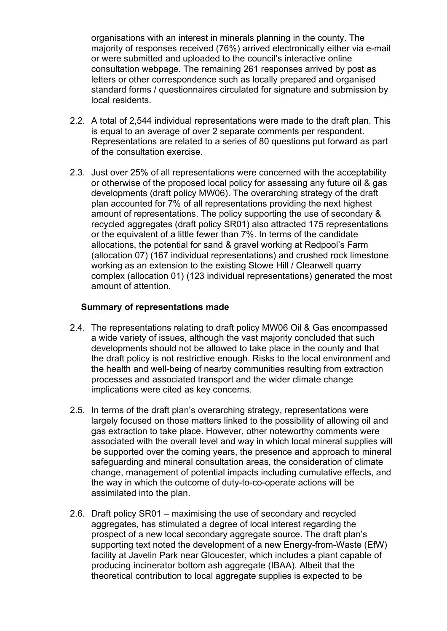organisations with an interest in minerals planning in the county. The majority of responses received (76%) arrived electronically either via e-mail or were submitted and uploaded to the council's interactive online consultation webpage. The remaining 261 responses arrived by post as letters or other correspondence such as locally prepared and organised standard forms / questionnaires circulated for signature and submission by local residents.

- 2.2. A total of 2,544 individual representations were made to the draft plan. This is equal to an average of over 2 separate comments per respondent. Representations are related to a series of 80 questions put forward as part of the consultation exercise.
- 2.3. Just over 25% of all representations were concerned with the acceptability or otherwise of the proposed local policy for assessing any future oil & gas developments (draft policy MW06). The overarching strategy of the draft plan accounted for 7% of all representations providing the next highest amount of representations. The policy supporting the use of secondary & recycled aggregates (draft policy SR01) also attracted 175 representations or the equivalent of a little fewer than 7%. In terms of the candidate allocations, the potential for sand & gravel working at Redpool's Farm (allocation 07) (167 individual representations) and crushed rock limestone working as an extension to the existing Stowe Hill / Clearwell quarry complex (allocation 01) (123 individual representations) generated the most amount of attention.

### **Summary of representations made**

- 2.4. The representations relating to draft policy MW06 Oil & Gas encompassed a wide variety of issues, although the vast majority concluded that such developments should not be allowed to take place in the county and that the draft policy is not restrictive enough. Risks to the local environment and the health and well-being of nearby communities resulting from extraction processes and associated transport and the wider climate change implications were cited as key concerns.
- 2.5. In terms of the draft plan's overarching strategy, representations were largely focused on those matters linked to the possibility of allowing oil and gas extraction to take place. However, other noteworthy comments were associated with the overall level and way in which local mineral supplies will be supported over the coming years, the presence and approach to mineral safeguarding and mineral consultation areas, the consideration of climate change, management of potential impacts including cumulative effects, and the way in which the outcome of duty-to-co-operate actions will be assimilated into the plan.
- 2.6. Draft policy SR01 maximising the use of secondary and recycled aggregates, has stimulated a degree of local interest regarding the prospect of a new local secondary aggregate source. The draft plan's supporting text noted the development of a new Energy-from-Waste (EfW) facility at Javelin Park near Gloucester, which includes a plant capable of producing incinerator bottom ash aggregate (IBAA). Albeit that the theoretical contribution to local aggregate supplies is expected to be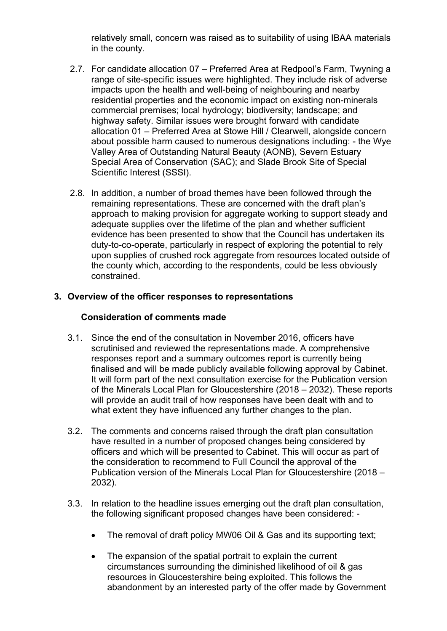relatively small, concern was raised as to suitability of using IBAA materials in the county.

- 2.7. For candidate allocation 07 Preferred Area at Redpool's Farm, Twyning a range of site-specific issues were highlighted. They include risk of adverse impacts upon the health and well-being of neighbouring and nearby residential properties and the economic impact on existing non-minerals commercial premises; local hydrology; biodiversity; landscape; and highway safety. Similar issues were brought forward with candidate allocation 01 – Preferred Area at Stowe Hill / Clearwell, alongside concern about possible harm caused to numerous designations including: - the Wye Valley Area of Outstanding Natural Beauty (AONB), Severn Estuary Special Area of Conservation (SAC); and Slade Brook Site of Special Scientific Interest (SSSI).
- 2.8. In addition, a number of broad themes have been followed through the remaining representations. These are concerned with the draft plan's approach to making provision for aggregate working to support steady and adequate supplies over the lifetime of the plan and whether sufficient evidence has been presented to show that the Council has undertaken its duty-to-co-operate, particularly in respect of exploring the potential to rely upon supplies of crushed rock aggregate from resources located outside of the county which, according to the respondents, could be less obviously constrained.

# **3. Overview of the officer responses to representations**

## **Consideration of comments made**

- 3.1. Since the end of the consultation in November 2016, officers have scrutinised and reviewed the representations made. A comprehensive responses report and a summary outcomes report is currently being finalised and will be made publicly available following approval by Cabinet. It will form part of the next consultation exercise for the Publication version of the Minerals Local Plan for Gloucestershire (2018 – 2032). These reports will provide an audit trail of how responses have been dealt with and to what extent they have influenced any further changes to the plan.
- 3.2. The comments and concerns raised through the draft plan consultation have resulted in a number of proposed changes being considered by officers and which will be presented to Cabinet. This will occur as part of the consideration to recommend to Full Council the approval of the Publication version of the Minerals Local Plan for Gloucestershire (2018 – 2032).
- 3.3. In relation to the headline issues emerging out the draft plan consultation, the following significant proposed changes have been considered: -
	- The removal of draft policy MW06 Oil & Gas and its supporting text;
	- The expansion of the spatial portrait to explain the current circumstances surrounding the diminished likelihood of oil & gas resources in Gloucestershire being exploited. This follows the abandonment by an interested party of the offer made by Government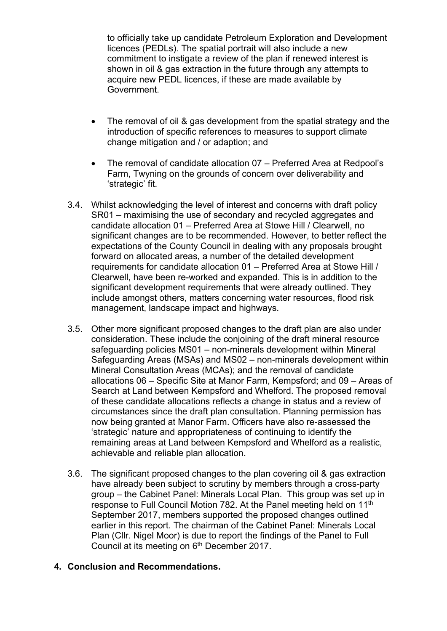to officially take up candidate Petroleum Exploration and Development licences (PEDLs). The spatial portrait will also include a new commitment to instigate a review of the plan if renewed interest is shown in oil & gas extraction in the future through any attempts to acquire new PEDL licences, if these are made available by Government.

- The removal of oil & gas development from the spatial strategy and the introduction of specific references to measures to support climate change mitigation and / or adaption; and
- The removal of candidate allocation 07 Preferred Area at Redpool's Farm, Twyning on the grounds of concern over deliverability and 'strategic' fit.
- 3.4. Whilst acknowledging the level of interest and concerns with draft policy SR01 – maximising the use of secondary and recycled aggregates and candidate allocation 01 – Preferred Area at Stowe Hill / Clearwell, no significant changes are to be recommended. However, to better reflect the expectations of the County Council in dealing with any proposals brought forward on allocated areas, a number of the detailed development requirements for candidate allocation 01 – Preferred Area at Stowe Hill / Clearwell, have been re-worked and expanded. This is in addition to the significant development requirements that were already outlined. They include amongst others, matters concerning water resources, flood risk management, landscape impact and highways.
- 3.5. Other more significant proposed changes to the draft plan are also under consideration. These include the conjoining of the draft mineral resource safeguarding policies MS01 – non-minerals development within Mineral Safeguarding Areas (MSAs) and MS02 – non-minerals development within Mineral Consultation Areas (MCAs); and the removal of candidate allocations 06 – Specific Site at Manor Farm, Kempsford; and 09 – Areas of Search at Land between Kempsford and Whelford. The proposed removal of these candidate allocations reflects a change in status and a review of circumstances since the draft plan consultation. Planning permission has now being granted at Manor Farm. Officers have also re-assessed the 'strategic' nature and appropriateness of continuing to identify the remaining areas at Land between Kempsford and Whelford as a realistic, achievable and reliable plan allocation.
- 3.6. The significant proposed changes to the plan covering oil & gas extraction have already been subject to scrutiny by members through a cross-party group – the Cabinet Panel: Minerals Local Plan. This group was set up in response to Full Council Motion 782. At the Panel meeting held on 11th September 2017, members supported the proposed changes outlined earlier in this report. The chairman of the Cabinet Panel: Minerals Local Plan (Cllr. Nigel Moor) is due to report the findings of the Panel to Full Council at its meeting on 6<sup>th</sup> December 2017.

# **4. Conclusion and Recommendations.**